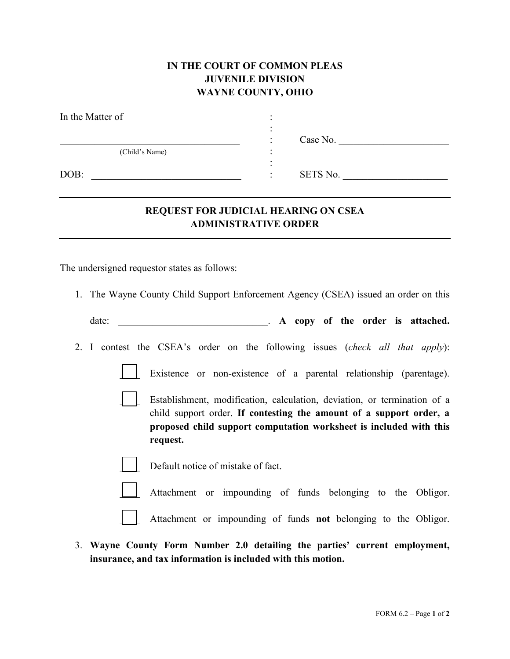## **IN THE COURT OF COMMON PLEAS JUVENILE DIVISION WAYNE COUNTY, OHIO**

| In the Matter of |   |          |
|------------------|---|----------|
|                  |   |          |
|                  | ٠ | Case No. |
| (Child's Name)   |   |          |
|                  |   |          |
| DOB:             |   | SETS No. |

## **REQUEST FOR JUDICIAL HEARING ON CSEA ADMINISTRATIVE ORDER**

The undersigned requestor states as follows:

1. The Wayne County Child Support Enforcement Agency (CSEA) issued an order on this

date:  $\bf{A}$  copy of the order is attached.

- 2. I contest the CSEA's order on the following issues (*check all that apply*):
	-

Existence or non-existence of a parental relationship (parentage).

Establishment, modification, calculation, deviation, or termination of a child support order. **If contesting the amount of a support order, a proposed child support computation worksheet is included with this request.**



Default notice of mistake of fact.

Attachment or impounding of funds belonging to the Obligor.

\_\_\_\_ Attachment or impounding of funds **not** belonging to the Obligor.

3. **Wayne County Form Number 2.0 detailing the parties' current employment, insurance, and tax information is included with this motion.**